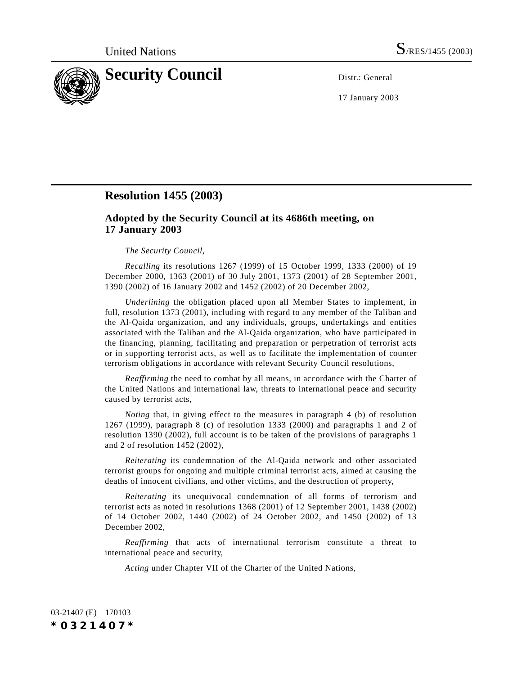

17 January 2003

## **Resolution 1455 (2003)**

## **Adopted by the Security Council at its 4686th meeting, on 17 January 2003**

## *The Security Council*,

*Recalling* its resolutions 1267 (1999) of 15 October 1999, 1333 (2000) of 19 December 2000, 1363 (2001) of 30 July 2001, 1373 (2001) of 28 September 2001, 1390 (2002) of 16 January 2002 and 1452 (2002) of 20 December 2002,

*Underlining* the obligation placed upon all Member States to implement, in full, resolution 1373 (2001), including with regard to any member of the Taliban and the Al-Qaida organization, and any individuals, groups, undertakings and entities associated with the Taliban and the Al-Qaida organization, who have participated in the financing, planning, facilitating and preparation or perpetration of terrorist acts or in supporting terrorist acts, as well as to facilitate the implementation of counter terrorism obligations in accordance with relevant Security Council resolutions,

*Reaffirming* the need to combat by all means, in accordance with the Charter of the United Nations and international law, threats to international peace and security caused by terrorist acts,

*Noting* that, in giving effect to the measures in paragraph 4 (b) of resolution 1267 (1999), paragraph 8 (c) of resolution 1333 (2000) and paragraphs 1 and 2 of resolution 1390 (2002), full account is to be taken of the provisions of paragraphs 1 and 2 of resolution 1452 (2002),

*Reiterating* its condemnation of the Al-Qaida network and other associated terrorist groups for ongoing and multiple criminal terrorist acts, aimed at causing the deaths of innocent civilians, and other victims, and the destruction of property,

*Reiterating* its unequivocal condemnation of all forms of terrorism and terrorist acts as noted in resolutions 1368 (2001) of 12 September 2001, 1438 (2002) of 14 October 2002, 1440 (2002) of 24 October 2002, and 1450 (2002) of 13 December 2002,

*Reaffirming* that acts of international terrorism constitute a threat to international peace and security,

*Acting* under Chapter VII of the Charter of the United Nations,

03-21407 (E) 170103 *\*0321407\**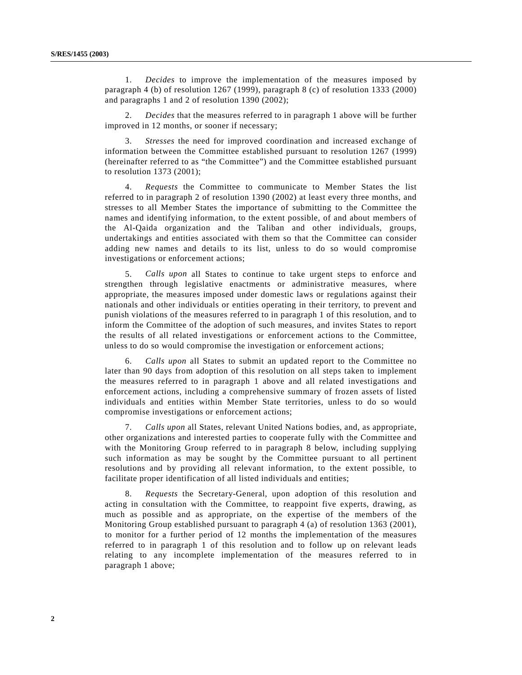1. *Decides* to improve the implementation of the measures imposed by paragraph 4 (b) of resolution 1267 (1999), paragraph 8 (c) of resolution 1333 (2000) and paragraphs 1 and 2 of resolution 1390 (2002);

2. *Decides* that the measures referred to in paragraph 1 above will be further improved in 12 months, or sooner if necessary;

3. *Stresses* the need for improved coordination and increased exchange of information between the Committee established pursuant to resolution 1267 (1999) (hereinafter referred to as "the Committee") and the Committee established pursuant to resolution 1373 (2001);

4. *Requests* the Committee to communicate to Member States the list referred to in paragraph 2 of resolution 1390 (2002) at least every three months, and stresses to all Member States the importance of submitting to the Committee the names and identifying information, to the extent possible, of and about members of the Al-Qaida organization and the Taliban and other individuals, groups, undertakings and entities associated with them so that the Committee can consider adding new names and details to its list, unless to do so would compromise investigations or enforcement actions;

5. *Calls upon* all States to continue to take urgent steps to enforce and strengthen through legislative enactments or administrative measures, where appropriate, the measures imposed under domestic laws or regulations against their nationals and other individuals or entities operating in their territory, to prevent and punish violations of the measures referred to in paragraph 1 of this resolution, and to inform the Committee of the adoption of such measures, and invites States to report the results of all related investigations or enforcement actions to the Committee, unless to do so would compromise the investigation or enforcement actions;

6. *Calls upon* all States to submit an updated report to the Committee no later than 90 days from adoption of this resolution on all steps taken to implement the measures referred to in paragraph 1 above and all related investigations and enforcement actions, including a comprehensive summary of frozen assets of listed individuals and entities within Member State territories, unless to do so would compromise investigations or enforcement actions;

7. *Calls upon* all States, relevant United Nations bodies, and, as appropriate, other organizations and interested parties to cooperate fully with the Committee and with the Monitoring Group referred to in paragraph 8 below, including supplying such information as may be sought by the Committee pursuant to all pertinent resolutions and by providing all relevant information, to the extent possible, to facilitate proper identification of all listed individuals and entities;

8. *Requests* the Secretary-General, upon adoption of this resolution and acting in consultation with the Committee, to reappoint five experts, drawing, as much as possible and as appropriate, on the expertise of the members of the Monitoring Group established pursuant to paragraph 4 (a) of resolution 1363 (2001), to monitor for a further period of 12 months the implementation of the measures referred to in paragraph 1 of this resolution and to follow up on relevant leads relating to any incomplete implementation of the measures referred to in paragraph 1 above;